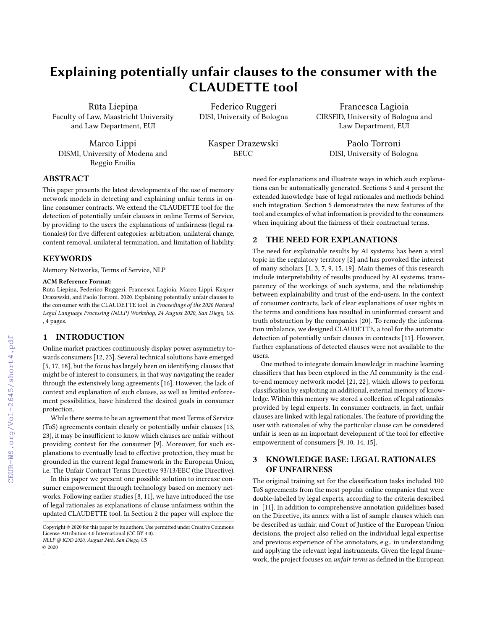# Explaining potentially unfair clauses to the consumer with the CLAUDETTE tool

Rūta Liepina Faculty of Law, Maastricht University and Law Department, EUI

Marco Lippi DISMI, University of Modena and Reggio Emilia

Federico Ruggeri DISI, University of Bologna

> Kasper Drazewski **BEUC**

Francesca Lagioia CIRSFID, University of Bologna and Law Department, EUI

> Paolo Torroni DISI, University of Bologna

## ABSTRACT

This paper presents the latest developments of the use of memory network models in detecting and explaining unfair terms in online consumer contracts. We extend the CLAUDETTE tool for the detection of potentially unfair clauses in online Terms of Service, by providing to the users the explanations of unfairness (legal rationales) for five different categories: arbitration, unilateral change, content removal, unilateral termination, and limitation of liability.

#### **KEYWORDS**

Memory Networks, Terms of Service, NLP

#### ACM Reference Format:

Rūta Liepiņa, Federico Ruggeri, Francesca Lagioia, Marco Lippi, Kasper Drazewski, and Paolo Torroni. 2020. Explaining potentially unfair clauses to the consumer with the CLAUDETTE tool. In Proceedings of the 2020 Natural Legal Language Processing (NLLP) Workshop, 24 August 2020, San Diego, US. , [4](#page--1-0) pages.

#### 1 INTRODUCTION

Online market practices continuously display power asymmetry towards consumers [\[12,](#page--1-1) [23\]](#page--1-2). Several technical solutions have emerged [\[5,](#page--1-3) [17,](#page--1-4) [18\]](#page--1-5), but the focus has largely been on identifying clauses that might be of interest to consumers, in that way navigating the reader through the extensively long agreements [\[16\]](#page--1-6). However, the lack of context and explanation of such clauses, as well as limited enforcement possibilities, have hindered the desired goals in consumer protection.

While there seems to be an agreement that most Terms of Service (ToS) agreements contain clearly or potentially unfair clauses [\[13,](#page--1-7) [23\]](#page--1-2), it may be insufficient to know which clauses are unfair without providing context for the consumer [\[9\]](#page--1-8). Moreover, for such explanations to eventually lead to effective protection, they must be grounded in the current legal framework in the European Union, i.e. The Unfair Contract Terms Directive 93/13/EEC (the Directive).

In this paper we present one possible solution to increase consumer empowerment through technology based on memory networks. Following earlier studies [\[8,](#page--1-9) [11\]](#page--1-10), we have introduced the use of legal rationales as explanations of clause unfairness within the updated CLAUDETTE tool. In Section [2](#page-0-0) the paper will explore the

NLLP @ KDD 2020, August 24th, San Diego, US © 2020

.

need for explanations and illustrate ways in which such explanations can be automatically generated. Sections [3](#page-0-1) and [4](#page--1-11) present the extended knowledge base of legal rationales and methods behind such integration. Section [5](#page--1-12) demonstrates the new features of the tool and examples of what information is provided to the consumers when inquiring about the fairness of their contractual terms.

## <span id="page-0-0"></span>2 THE NEED FOR EXPLANATIONS

The need for explainable results by AI systems has been a viral topic in the regulatory territory [\[2\]](#page--1-13) and has provoked the interest of many scholars [\[1,](#page--1-14) [3,](#page--1-15) [7,](#page--1-16) [9,](#page--1-8) [15,](#page--1-17) [19\]](#page--1-18). Main themes of this research include interpretability of results produced by AI systems, transparency of the workings of such systems, and the relationship between explainability and trust of the end-users. In the context of consumer contracts, lack of clear explanations of user rights in the terms and conditions has resulted in uninformed consent and truth obstruction by the companies [\[20\]](#page--1-19). To remedy the information imbalance, we designed CLAUDETTE, a tool for the automatic detection of potentially unfair clauses in contracts [\[11\]](#page--1-10). However, further explanations of detected clauses were not available to the users.

One method to integrate domain knowledge in machine learning classifiers that has been explored in the AI community is the endto-end memory network model [\[21,](#page--1-20) [22\]](#page--1-21), which allows to perform classification by exploiting an additional, external memory of knowledge. Within this memory we stored a collection of legal rationales provided by legal experts. In consumer contracts, in fact, unfair clauses are linked with legal rationales. The feature of providing the user with rationales of why the particular clause can be considered unfair is seen as an important development of the tool for effective empowerment of consumers [\[9,](#page--1-8) [10,](#page--1-22) [14,](#page--1-23) [15\]](#page--1-17).

## <span id="page-0-1"></span>3 KNOWLEDGE BASE: LEGAL RATIONALES OF UNFAIRNESS

The original training set for the classification tasks included 100 ToS agreements from the most popular online companies that were double-labelled by legal experts, according to the criteria described in [\[11\]](#page--1-10). In addition to comprehensive annotation guidelines based on the Directive, its annex with a list of sample clauses which can be described as unfair, and Court of Justice of the European Union decisions, the project also relied on the individual legal expertise and previous experience of the annotators, e.g., in understanding and applying the relevant legal instruments. Given the legal framework, the project focuses on unfair terms as defined in the European

 $\operatorname{Copyright} \otimes$  2020 for this paper by its authors. Use permitted under Creative Commons License Attribution 4.0 International (CC BY 4.0).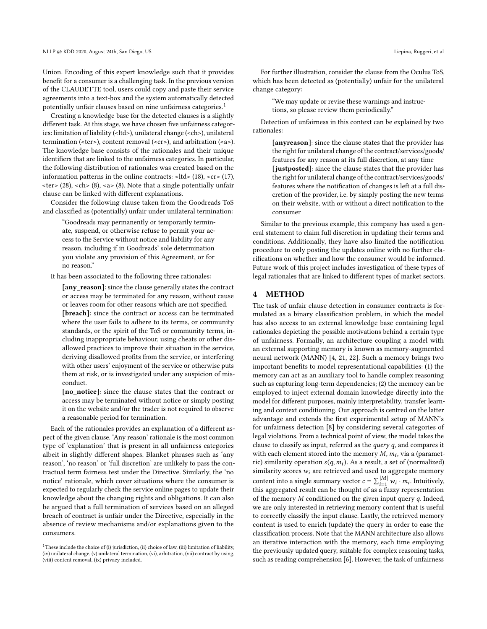Union. Encoding of this expert knowledge such that it provides benefit for a consumer is a challenging task. In the previous version of the CLAUDETTE tool, users could copy and paste their service agreements into a text-box and the system automatically detected potentially unfair clauses based on nine unfairness categories.[1](#page-1-0)

Creating a knowledge base for the detected clauses is a slightly different task. At this stage, we have chosen five unfairness categories: limitation of liability (<ltd>), unilateral change (<ch>), unilateral termination (<ter>), content removal (<cr>>cr>), and arbitration (<a>). The knowledge base consists of the rationales and their unique identifiers that are linked to the unfairness categories. In particular, the following distribution of rationales was created based on the information patterns in the online contracts:  $lt;$ ltd $gt$  (18),  $lt;$ cr $gt$  (17), <ter> (28), <ch> (8), <a> (8). Note that a single potentially unfair clause can be linked with different explanations.

Consider the following clause taken from the Goodreads ToS and classified as (potentially) unfair under unilateral termination:

"Goodreads may permanently or temporarily terminate, suspend, or otherwise refuse to permit your access to the Service without notice and liability for any reason, including if in Goodreads' sole determination you violate any provision of this Agreement, or for no reason."

It has been associated to the following three rationales:

[any\_reason]: since the clause generally states the contract or access may be terminated for any reason, without cause or leaves room for other reasons which are not specified. [breach]: since the contract or access can be terminated where the user fails to adhere to its terms, or community standards, or the spirit of the ToS or community terms, including inappropriate behaviour, using cheats or other disallowed practices to improve their situation in the service, deriving disallowed profits from the service, or interfering with other users' enjoyment of the service or otherwise puts them at risk, or is investigated under any suspicion of misconduct.

[no\_notice]: since the clause states that the contract or access may be terminated without notice or simply posting it on the website and/or the trader is not required to observe a reasonable period for termination.

Each of the rationales provides an explanation of a different aspect of the given clause. 'Any reason' rationale is the most common type of 'explanation' that is present in all unfairness categories albeit in slightly different shapes. Blanket phrases such as 'any reason', 'no reason' or 'full discretion' are unlikely to pass the contractual term fairness test under the Directive. Similarly, the 'no notice' rationale, which cover situations where the consumer is expected to regularly check the service online pages to update their knowledge about the changing rights and obligations. It can also be argued that a full termination of services based on an alleged breach of contract is unfair under the Directive, especially in the absence of review mechanisms and/or explanations given to the consumers.

For further illustration, consider the clause from the Oculus ToS, which has been detected as (potentially) unfair for the unilateral change category:

"We may update or revise these warnings and instructions, so please review them periodically."

Detection of unfairness in this context can be explained by two rationales:

> [anyreason]: since the clause states that the provider has the right for unilateral change of the contract/services/goods/ features for any reason at its full discretion, at any time [justposted]: since the clause states that the provider has the right for unilateral change of the contract/services/goods/ features where the notification of changes is left at a full discretion of the provider, i.e. by simply posting the new terms on their website, with or without a direct notification to the consumer

Similar to the previous example, this company has used a general statement to claim full discretion in updating their terms and conditions. Additionally, they have also limited the notification procedure to only posting the updates online with no further clarifications on whether and how the consumer would be informed. Future work of this project includes investigation of these types of legal rationales that are linked to different types of market sectors.

## 4 METHOD

The task of unfair clause detection in consumer contracts is formulated as a binary classification problem, in which the model has also access to an external knowledge base containing legal rationales depicting the possible motivations behind a certain type of unfairness. Formally, an architecture coupling a model with an external supporting memory is known as memory-augmented neural network (MANN) [\[4,](#page-2-0) [21,](#page-3-0) [22\]](#page-3-1). Such a memory brings two important benefits to model representational capabilities: (1) the memory can act as an auxiliary tool to handle complex reasoning such as capturing long-term dependencies; (2) the memory can be employed to inject external domain knowledge directly into the model for different purposes, mainly interpretability, transfer learning and context conditioning. Our approach is centred on the latter advantage and extends the first experimental setup of MANN's for unfairness detection [\[8\]](#page-2-1) by considering several categories of legal violations. From a technical point of view, the model takes the clause to classify as input, referred as the *query*  $q$ , and compares it with each element stored into the memory  $M$ ,  $m_i$ , via a (parametric) similarity operation  $s(q, m_i)$ . As a result, a set of (normalized) similarity scores  $w_i$  are retrieved and used to aggregate memory content into a single summary vector  $c = \sum_{i=1}^{|M|} w_i \cdot m_i$ . Intuitively, this aggregated result can be thought of as a fuzzy representation of the memory  $M$  conditioned on the given input query  $q$ . Indeed, we are only interested in retrieving memory content that is useful to correctly classify the input clause. Lastly, the retrieved memory content is used to enrich (update) the query in order to ease the classification process. Note that the MANN architecture also allows an iterative interaction with the memory, each time employing the previously updated query, suitable for complex reasoning tasks, such as reading comprehension [\[6\]](#page-2-2). However, the task of unfairness

<span id="page-1-0"></span><sup>&</sup>lt;sup>1</sup>These include the choice of (i) jurisdiction, (ii) choice of law, (iii) limitation of liability, (iv) unilateral change, (v) unilateral termination, (vi), arbitration, (vii) contract by using, (viii) content removal, (ix) privacy included.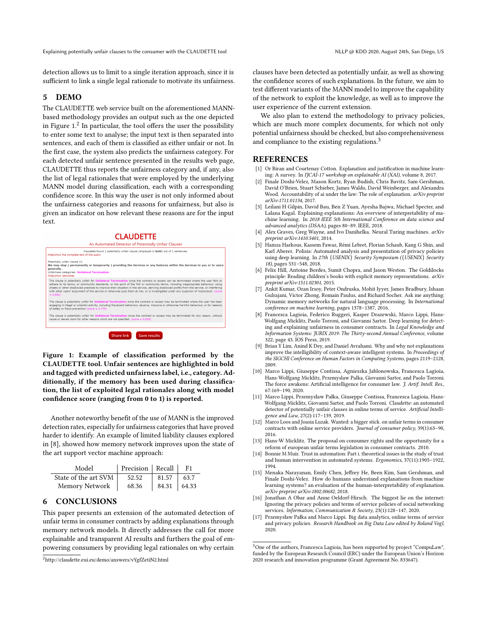Explaining potentially unfair clauses to the consumer with the CLAUDETTE tool NET ALLP @ KDD 2020, August 24th, San Diego, US

detection allows us to limit to a single iteration approach, since it is sufficient to link a single legal rationale to motivate its unfairness.

## 5 DEMO

The CLAUDETTE web service built on the aforementioned MANNbased methodology provides an output such as the one depicted in Figure  $1<sup>2</sup>$  $1<sup>2</sup>$  $1<sup>2</sup>$  In particular, the tool offers the user the possibility to enter some text to analyse; the input text is then separated into sentences, and each of them is classified as either unfair or not. In the first case, the system also predicts the unfairness category. For each detected unfair sentence presented in the results web page, CLAUDETTE thus reports the unfairness category and, if any, also the list of legal rationales that were employed by the underlying MANN model during classification, each with a corresponding confidence score. In this way the user is not only informed about the unfairness categories and reasons for unfairness, but also is given an indicator on how relevant these reasons are for the input text.

#### **CLAUDETTE**

<span id="page-2-3"></span>

Figure 1: Example of classification performed by the CLAUDETTE tool. Unfair sentences are highlighted in bold and tagged with predicted unfairness label, i.e., category. Additionally, if the memory has been used during classification, the list of exploited legal rationales along with model confidence score (ranging from 0 to 1) is reported.

Another noteworthy benefit of the use of MANN is the improved detection rates, especially for unfairness categories that have proved harder to identify. An example of limited liability clauses explored in [\[8\]](#page-2-1), showed how memory network improves upon the state of the art support vector machine approach:

| Model                | Precision Recall |                   | F <sub>1</sub> |
|----------------------|------------------|-------------------|----------------|
| State of the art SVM | 52.52            | 81.57             | 63.7           |
| Memory Network       | 68.36            | $84.31 \pm 64.33$ |                |

### 6 CONCLUSIONS

This paper presents an extension of the automated detection of unfair terms in consumer contracts by adding explanations through memory network models. It directly addresses the call for more explainable and transparent AI results and furthers the goal of empowering consumers by providing legal rationales on why certain

<span id="page-2-4"></span><sup>2</sup>http://claudette.eui.eu/demo/answers/vYgfZetiN2.html

clauses have been detected as potentially unfair, as well as showing the confidence scores of such explanations. In the future, we aim to test different variants of the MANN model to improve the capability of the network to exploit the knowledge, as well as to improve the user experience of the current extension.

We also plan to extend the methodology to privacy policies, which are much more complex documents, for which not only potential unfairness should be checked, but also comprehensiveness and compliance to the existing regulations.<sup>[3](#page-2-5)</sup>

#### REFERENCES

- [1] Or Biran and Courtenay Cotton. Explanation and justification in machine learning: A survey. In IJCAI-17 workshop on explainable AI (XAI), volume 8, 2017.
- [2] Finale Doshi-Velez, Mason Kortz, Ryan Budish, Chris Bavitz, Sam Gershman, David O'Brien, Stuart Schieber, James Waldo, David Weinberger, and Alexandra Wood. Accountability of ai under the law: The role of explanation. arXiv preprint arXiv:1711.01134, 2017.
- [3] Leilani H Gilpin, David Bau, Ben Z Yuan, Ayesha Bajwa, Michael Specter, and Lalana Kagal. Explaining explanations: An overview of interpretability of machine learning. In 2018 IEEE 5th International Conference on data science and advanced analytics (DSAA), pages 80–89. IEEE, 2018.
- <span id="page-2-0"></span>[4] Alex Graves, Greg Wayne, and Ivo Danihelka. Neural Turing machines. arXiv preprint arXiv:1410.5401, 2014.
- [5] Hamza Harkous, Kassem Fawaz, Rémi Lebret, Florian Schaub, Kang G Shin, and Karl Aberer. Polisis: Automated analysis and presentation of privacy policies using deep learning. In 27th {USENIX} Security Symposium ({USENIX} Security 18), pages 531–548, 2018.
- <span id="page-2-2"></span>[6] Felix Hill, Antoine Bordes, Sumit Chopra, and Jason Weston. The Goldilocks principle: Reading children's books with explicit memory representations. arXiv preprint arXiv:1511.02301, 2015.
- [7] Ankit Kumar, Ozan Irsoy, Peter Ondruska, Mohit Iyyer, James Bradbury, Ishaan Gulrajani, Victor Zhong, Romain Paulus, and Richard Socher. Ask me anything: Dynamic memory networks for natural language processing. In International conference on machine learning, pages 1378–1387, 2016.
- <span id="page-2-1"></span>[8] Francesca Lagioia, Federico Ruggeri, Kasper Drazewski, Marco Lippi, Hans-Wolfgang Micklitz, Paolo Torroni, and Giovanni Sartor. Deep learning for detecting and explaining unfairness in consumer contracts. In Legal Knowledge and Information Systems: JURIX 2019: The Thirty-second Annual Conference, volume 322, page 43. IOS Press, 2019.
- [9] Brian Y Lim, Anind K Dey, and Daniel Avrahami. Why and why not explanations improve the intelligibility of context-aware intelligent systems. In Proceedings of the SIGCHI Conference on Human Factors in Computing Systems, pages 2119–2128, 2009.
- [10] Marco Lippi, Giuseppe Contissa, Agnieszka Jablonowska, Francesca Lagioia, Hans-Wolfgang Micklitz, Przemyslaw Palka, Giovanni Sartor, and Paolo Torroni. The force awakens: Artificial intelligence for consumer law. J. Artif. Intell. Res., 67:169–190, 2020.
- [11] Marco Lippi, Przemysław Pałka, Giuseppe Contissa, Francesca Lagioia, Hans-Wolfgang Micklitz, Giovanni Sartor, and Paolo Torroni. Claudette: an automated detector of potentially unfair clauses in online terms of service. Artificial Intelligence and Law, 27(2):117–139, 2019.
- [12] Marco Loos and Joasia Luzak. Wanted: a bigger stick. on unfair terms in consumer contracts with online service providers. Journal of consumer policy, 39(1):63–90, 2016.
- [13] Hans-W Micklitz. The proposal on consumer rights and the opportunity for a reform of european unfair terms legislation in consumer contracts. 2010.
- [14] Bonnie M Muir. Trust in automation: Part i. theoretical issues in the study of trust and human intervention in automated systems. Ergonomics, 37(11):1905–1922, 1994.
- [15] Menaka Narayanan, Emily Chen, Jeffrey He, Been Kim, Sam Gershman, and Finale Doshi-Velez. How do humans understand explanations from machine learning systems? an evaluation of the human-interpretability of explanation. arXiv preprint arXiv:1802.00682, 2018.
- [16] Jonathan A Obar and Anne Oeldorf-Hirsch. The biggest lie on the internet: Ignoring the privacy policies and terms of service policies of social networking services. Information, Communication & Society, 23(1):128–147, 2020.
- [17] Przemysław Pałka and Marco Lippi. Big data analytics, online terms of service and privacy policies. Research Handbook on Big Data Law edited by Roland Vogl, 2020.

<span id="page-2-5"></span><sup>&</sup>lt;sup>3</sup>One of the authors, Francesca Lagioia, has been supported by project "CompuLaw", funded by the European Research Council (ERC) under the European Union's Horizon 2020 research and innovation programme (Grant Agreement No. 833647).